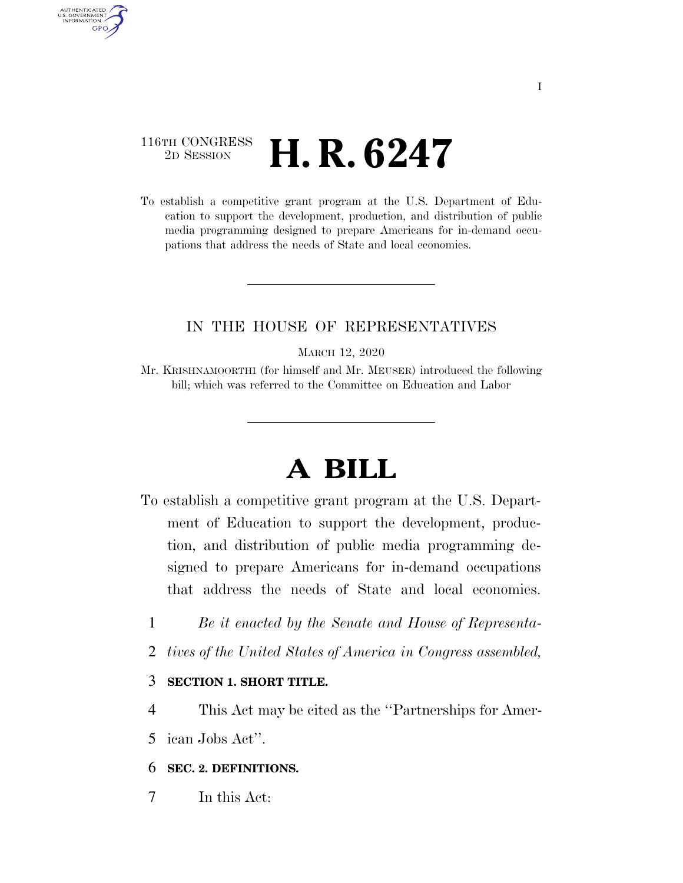## 116TH CONGRESS <sup>2D SESSION</sup> **H. R. 6247**

AUTHENTICATED U.S. GOVERNMENT GPO

> To establish a competitive grant program at the U.S. Department of Education to support the development, production, and distribution of public media programming designed to prepare Americans for in-demand occupations that address the needs of State and local economies.

## IN THE HOUSE OF REPRESENTATIVES

MARCH 12, 2020

Mr. KRISHNAMOORTHI (for himself and Mr. MEUSER) introduced the following bill; which was referred to the Committee on Education and Labor

# **A BILL**

- To establish a competitive grant program at the U.S. Department of Education to support the development, production, and distribution of public media programming designed to prepare Americans for in-demand occupations that address the needs of State and local economies.
	- 1 *Be it enacted by the Senate and House of Representa-*
	- 2 *tives of the United States of America in Congress assembled,*

3 **SECTION 1. SHORT TITLE.** 

- 4 This Act may be cited as the ''Partnerships for Amer-
- 5 ican Jobs Act''.

#### 6 **SEC. 2. DEFINITIONS.**

7 In this Act: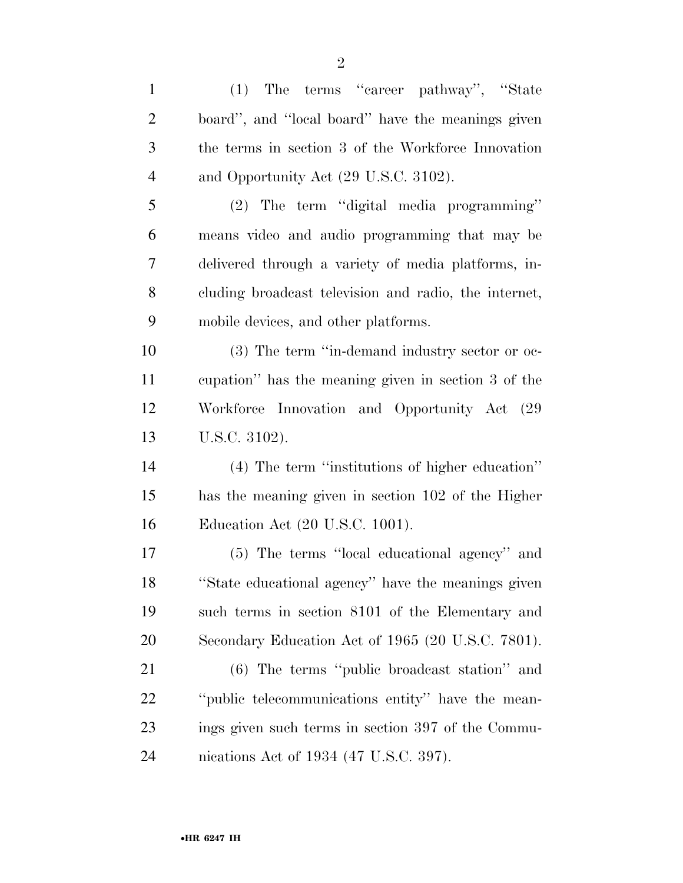| $\mathbf{1}$   | The terms "career pathway", "State<br>(1)             |
|----------------|-------------------------------------------------------|
| $\overline{2}$ | board", and "local board" have the meanings given     |
| 3              | the terms in section 3 of the Workforce Innovation    |
| $\overline{4}$ | and Opportunity Act (29 U.S.C. 3102).                 |
| 5              | (2) The term "digital media programming"              |
| 6              | means video and audio programming that may be         |
| 7              | delivered through a variety of media platforms, in-   |
| 8              | cluding broadcast television and radio, the internet, |
| 9              | mobile devices, and other platforms.                  |
| 10             | (3) The term "in-demand industry sector or oc-        |
| 11             | cupation" has the meaning given in section 3 of the   |
| 12             | Workforce Innovation and Opportunity Act (29          |
| 13             | U.S.C. 3102).                                         |
| 14             | (4) The term "institutions of higher education"       |
| 15             | has the meaning given in section 102 of the Higher    |
| 16             | Education Act (20 U.S.C. 1001).                       |
| 17             | (5) The terms "local educational agency" and          |
| 18             | "State educational agency" have the meanings given    |
| 19             | such terms in section 8101 of the Elementary and      |
| 20             | Secondary Education Act of 1965 (20 U.S.C. 7801).     |
| 21             | $(6)$ The terms "public broadcast station" and        |
| 22             | "public telecommunications entity" have the mean-     |
| 23             | ings given such terms in section 397 of the Commu-    |
| 24             | nications Act of 1934 (47 U.S.C. 397).                |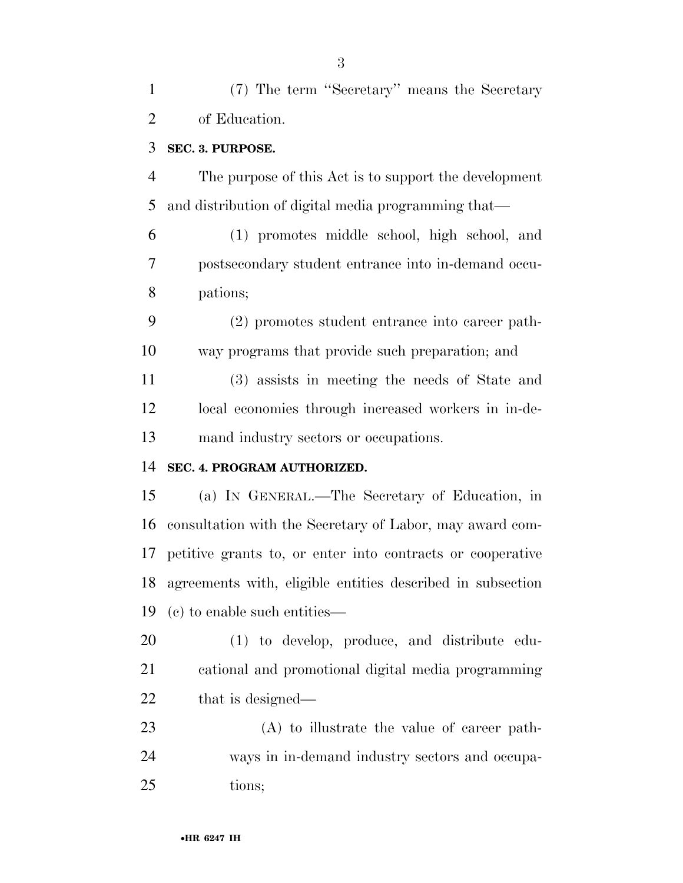(7) The term ''Secretary'' means the Secretary of Education.

#### **SEC. 3. PURPOSE.**

 The purpose of this Act is to support the development and distribution of digital media programming that—

 (1) promotes middle school, high school, and postsecondary student entrance into in-demand occu-pations;

 (2) promotes student entrance into career path-way programs that provide such preparation; and

 (3) assists in meeting the needs of State and local economies through increased workers in in-de-mand industry sectors or occupations.

#### **SEC. 4. PROGRAM AUTHORIZED.**

 (a) IN GENERAL.—The Secretary of Education, in consultation with the Secretary of Labor, may award com- petitive grants to, or enter into contracts or cooperative agreements with, eligible entities described in subsection (c) to enable such entities—

 (1) to develop, produce, and distribute edu- cational and promotional digital media programming 22 that is designed—

 (A) to illustrate the value of career path- ways in in-demand industry sectors and occupa-tions;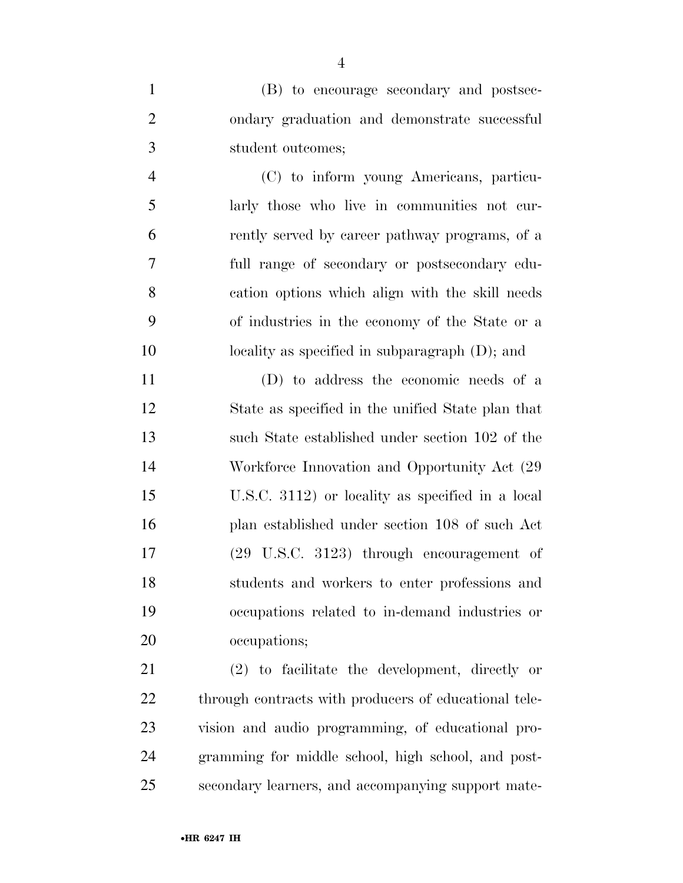(B) to encourage secondary and postsec- ondary graduation and demonstrate successful student outcomes;

 (C) to inform young Americans, particu- larly those who live in communities not cur- rently served by career pathway programs, of a full range of secondary or postsecondary edu- cation options which align with the skill needs of industries in the economy of the State or a 10 locality as specified in subparagraph (D); and

 (D) to address the economic needs of a State as specified in the unified State plan that such State established under section 102 of the 14 Workforce Innovation and Opportunity Act  $(29)$  U.S.C. 3112) or locality as specified in a local plan established under section 108 of such Act (29 U.S.C. 3123) through encouragement of students and workers to enter professions and occupations related to in-demand industries or occupations;

 (2) to facilitate the development, directly or 22 through contracts with producers of educational tele- vision and audio programming, of educational pro- gramming for middle school, high school, and post-secondary learners, and accompanying support mate-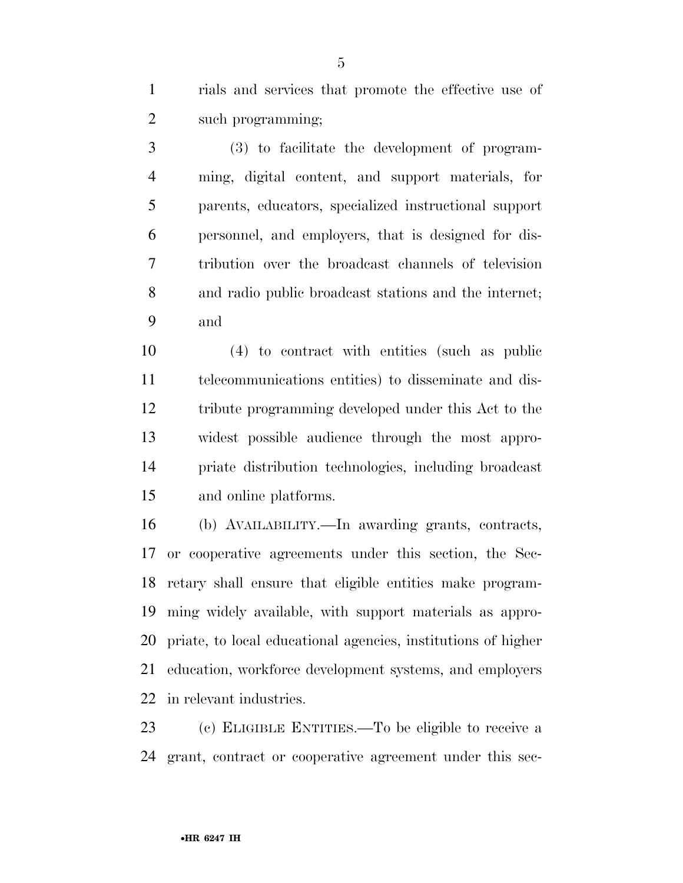rials and services that promote the effective use of 2 such programming;

 (3) to facilitate the development of program- ming, digital content, and support materials, for parents, educators, specialized instructional support personnel, and employers, that is designed for dis- tribution over the broadcast channels of television and radio public broadcast stations and the internet; and

 (4) to contract with entities (such as public telecommunications entities) to disseminate and dis- tribute programming developed under this Act to the widest possible audience through the most appro- priate distribution technologies, including broadcast and online platforms.

 (b) AVAILABILITY.—In awarding grants, contracts, or cooperative agreements under this section, the Sec- retary shall ensure that eligible entities make program- ming widely available, with support materials as appro- priate, to local educational agencies, institutions of higher education, workforce development systems, and employers in relevant industries.

 (c) ELIGIBLE ENTITIES.—To be eligible to receive a grant, contract or cooperative agreement under this sec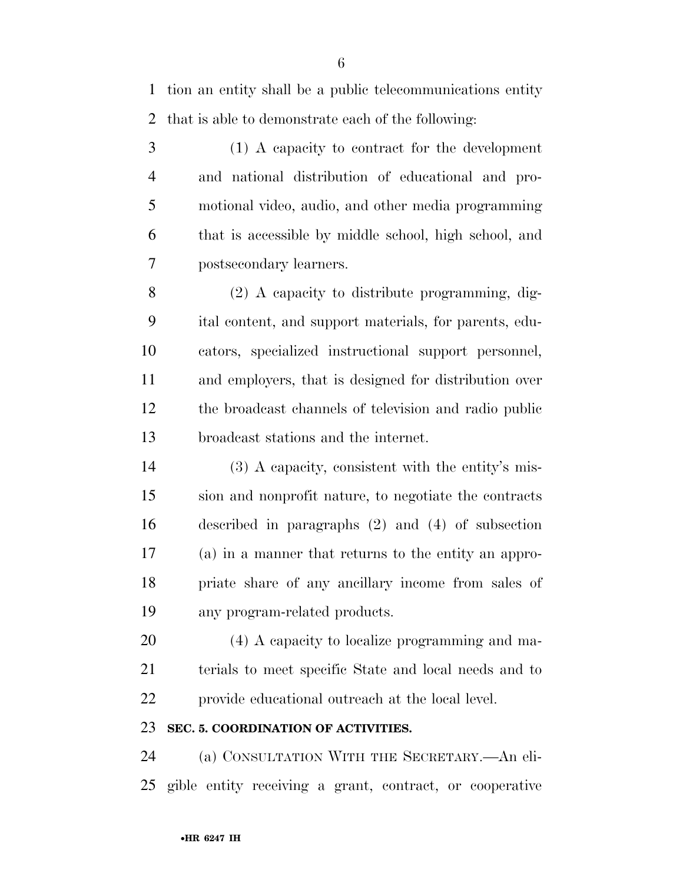tion an entity shall be a public telecommunications entity that is able to demonstrate each of the following:

 (1) A capacity to contract for the development and national distribution of educational and pro- motional video, audio, and other media programming that is accessible by middle school, high school, and postsecondary learners.

 (2) A capacity to distribute programming, dig- ital content, and support materials, for parents, edu- cators, specialized instructional support personnel, and employers, that is designed for distribution over the broadcast channels of television and radio public broadcast stations and the internet.

 (3) A capacity, consistent with the entity's mis- sion and nonprofit nature, to negotiate the contracts described in paragraphs (2) and (4) of subsection (a) in a manner that returns to the entity an appro- priate share of any ancillary income from sales of any program-related products.

 (4) A capacity to localize programming and ma- terials to meet specific State and local needs and to provide educational outreach at the local level.

#### **SEC. 5. COORDINATION OF ACTIVITIES.**

 (a) CONSULTATION WITH THE SECRETARY.—An eli-gible entity receiving a grant, contract, or cooperative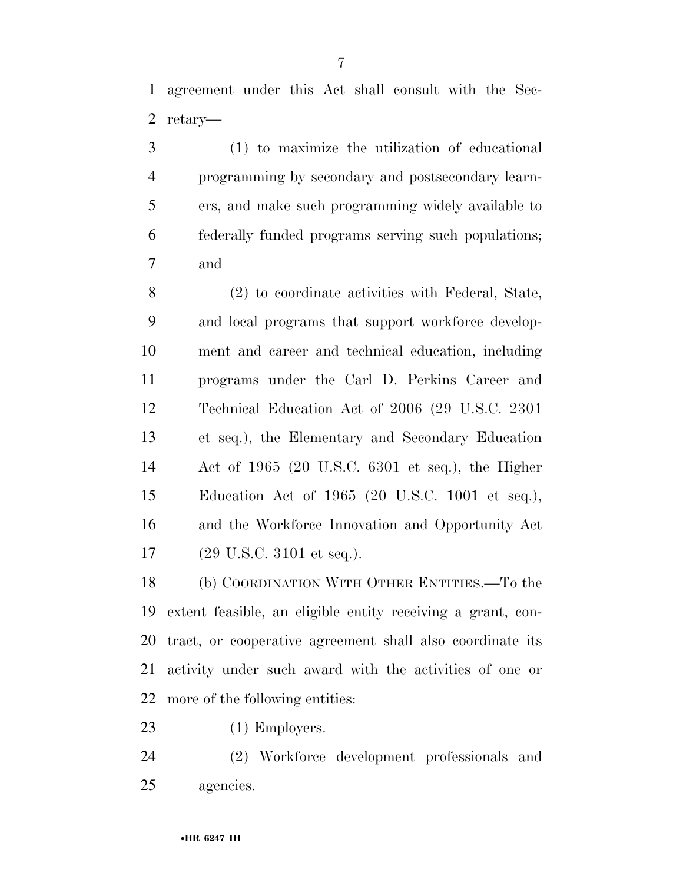agreement under this Act shall consult with the Sec-retary—

 (1) to maximize the utilization of educational programming by secondary and postsecondary learn- ers, and make such programming widely available to federally funded programs serving such populations; and

 (2) to coordinate activities with Federal, State, and local programs that support workforce develop- ment and career and technical education, including programs under the Carl D. Perkins Career and Technical Education Act of 2006 (29 U.S.C. 2301 et seq.), the Elementary and Secondary Education Act of 1965 (20 U.S.C. 6301 et seq.), the Higher Education Act of 1965 (20 U.S.C. 1001 et seq.), and the Workforce Innovation and Opportunity Act (29 U.S.C. 3101 et seq.).

 (b) COORDINATION WITH OTHER ENTITIES.—To the extent feasible, an eligible entity receiving a grant, con- tract, or cooperative agreement shall also coordinate its activity under such award with the activities of one or more of the following entities:

23 (1) Employers.

 (2) Workforce development professionals and agencies.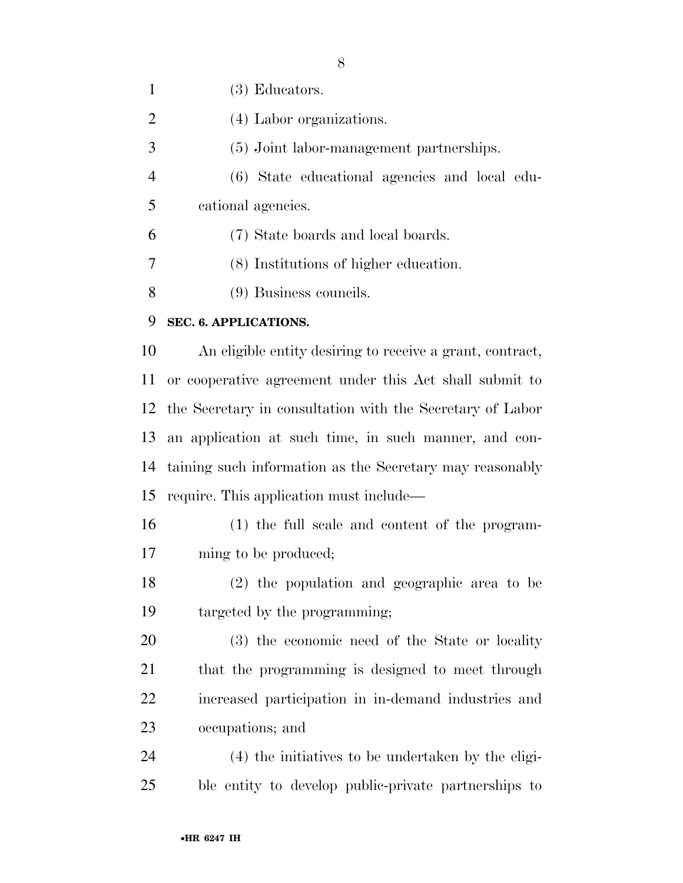(3) Educators. 2 (4) Labor organizations. (5) Joint labor-management partnerships. (6) State educational agencies and local edu- cational agencies. (7) State boards and local boards. (8) Institutions of higher education. (9) Business councils. **SEC. 6. APPLICATIONS.**  An eligible entity desiring to receive a grant, contract, or cooperative agreement under this Act shall submit to the Secretary in consultation with the Secretary of Labor an application at such time, in such manner, and con- taining such information as the Secretary may reasonably require. This application must include— (1) the full scale and content of the program-17 ming to be produced; (2) the population and geographic area to be

targeted by the programming;

 (3) the economic need of the State or locality that the programming is designed to meet through increased participation in in-demand industries and occupations; and

 (4) the initiatives to be undertaken by the eligi-ble entity to develop public-private partnerships to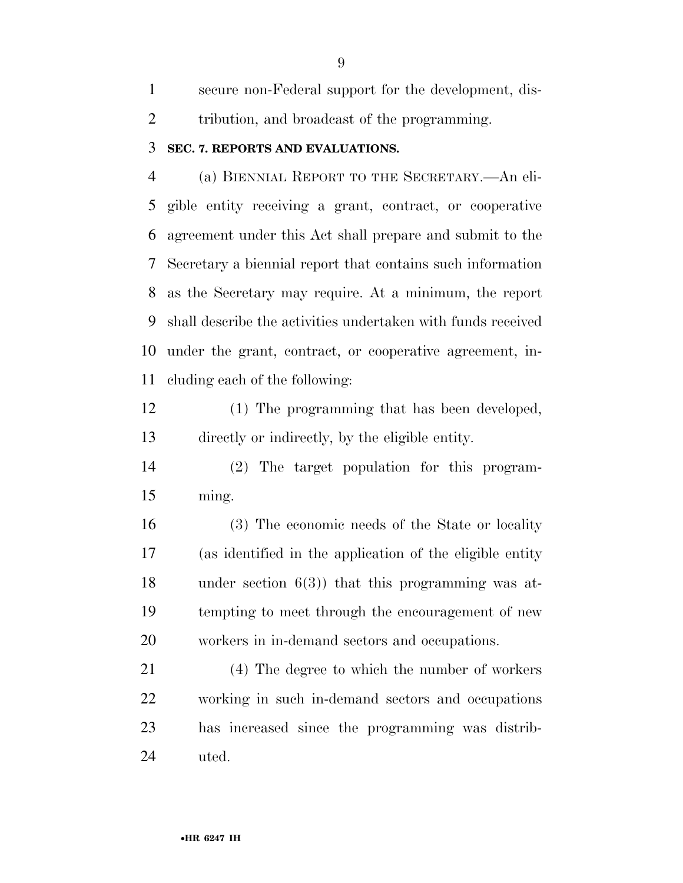secure non-Federal support for the development, dis-tribution, and broadcast of the programming.

#### **SEC. 7. REPORTS AND EVALUATIONS.**

 (a) BIENNIAL REPORT TO THE SECRETARY.—An eli- gible entity receiving a grant, contract, or cooperative agreement under this Act shall prepare and submit to the Secretary a biennial report that contains such information as the Secretary may require. At a minimum, the report shall describe the activities undertaken with funds received under the grant, contract, or cooperative agreement, in-cluding each of the following:

 (1) The programming that has been developed, directly or indirectly, by the eligible entity.

 (2) The target population for this program-ming.

 (3) The economic needs of the State or locality (as identified in the application of the eligible entity under section 6(3)) that this programming was at- tempting to meet through the encouragement of new workers in in-demand sectors and occupations.

 (4) The degree to which the number of workers working in such in-demand sectors and occupations has increased since the programming was distrib-uted.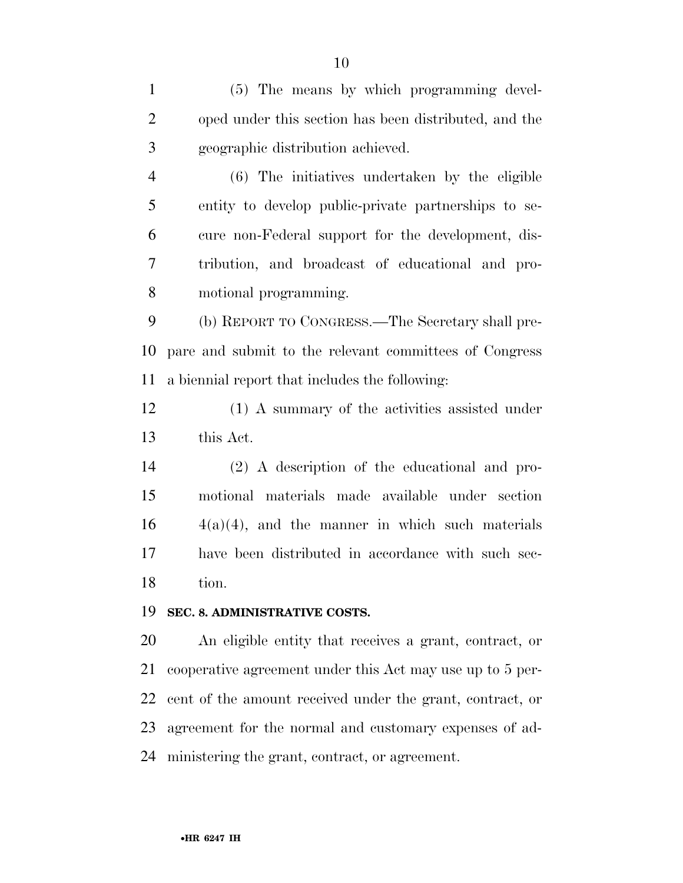(5) The means by which programming devel- oped under this section has been distributed, and the geographic distribution achieved. (6) The initiatives undertaken by the eligible entity to develop public-private partnerships to se- cure non-Federal support for the development, dis- tribution, and broadcast of educational and pro- motional programming. (b) REPORT TO CONGRESS.—The Secretary shall pre- pare and submit to the relevant committees of Congress a biennial report that includes the following: (1) A summary of the activities assisted under this Act. (2) A description of the educational and pro- motional materials made available under section  $16 \t 4(a)(4)$ , and the manner in which such materials have been distributed in accordance with such sec- tion. **SEC. 8. ADMINISTRATIVE COSTS.**  An eligible entity that receives a grant, contract, or cooperative agreement under this Act may use up to 5 per-

 cent of the amount received under the grant, contract, or agreement for the normal and customary expenses of ad-

ministering the grant, contract, or agreement.